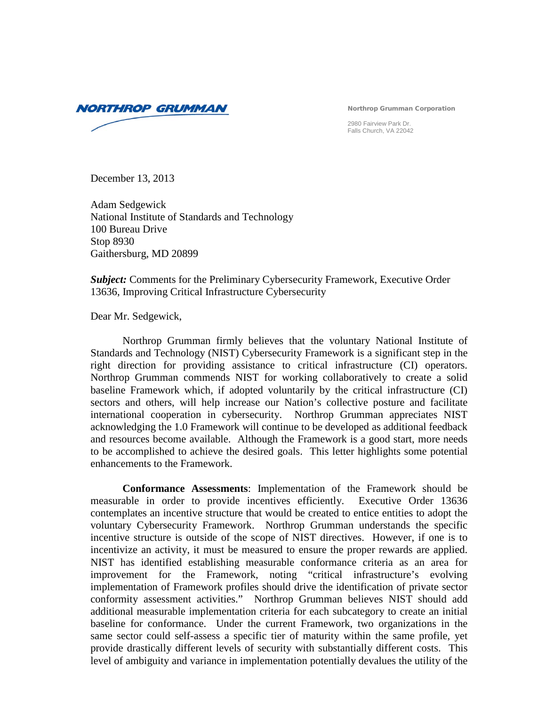**NORTHROP GRUMMAN** 

Northrop Grumman Corporation

2980 Fairview Park Dr. Falls Church, VA 22042

December 13, 2013

Adam Sedgewick National Institute of Standards and Technology 100 Bureau Drive Stop 8930 Gaithersburg, MD 20899

*Subject:* Comments for the Preliminary Cybersecurity Framework, Executive Order 13636, Improving Critical Infrastructure Cybersecurity

Dear Mr. Sedgewick,

Northrop Grumman firmly believes that the voluntary National Institute of Standards and Technology (NIST) Cybersecurity Framework is a significant step in the right direction for providing assistance to critical infrastructure (CI) operators. Northrop Grumman commends NIST for working collaboratively to create a solid baseline Framework which, if adopted voluntarily by the critical infrastructure (CI) sectors and others, will help increase our Nation's collective posture and facilitate international cooperation in cybersecurity. Northrop Grumman appreciates NIST acknowledging the 1.0 Framework will continue to be developed as additional feedback and resources become available. Although the Framework is a good start, more needs to be accomplished to achieve the desired goals. This letter highlights some potential enhancements to the Framework.

**Conformance Assessments**: Implementation of the Framework should be measurable in order to provide incentives efficiently. Executive Order 13636 contemplates an incentive structure that would be created to entice entities to adopt the voluntary Cybersecurity Framework. Northrop Grumman understands the specific incentive structure is outside of the scope of NIST directives. However, if one is to incentivize an activity, it must be measured to ensure the proper rewards are applied. NIST has identified establishing measurable conformance criteria as an area for improvement for the Framework, noting "critical infrastructure's evolving implementation of Framework profiles should drive the identification of private sector conformity assessment activities." Northrop Grumman believes NIST should add additional measurable implementation criteria for each subcategory to create an initial baseline for conformance. Under the current Framework, two organizations in the same sector could self-assess a specific tier of maturity within the same profile, yet provide drastically different levels of security with substantially different costs. This level of ambiguity and variance in implementation potentially devalues the utility of the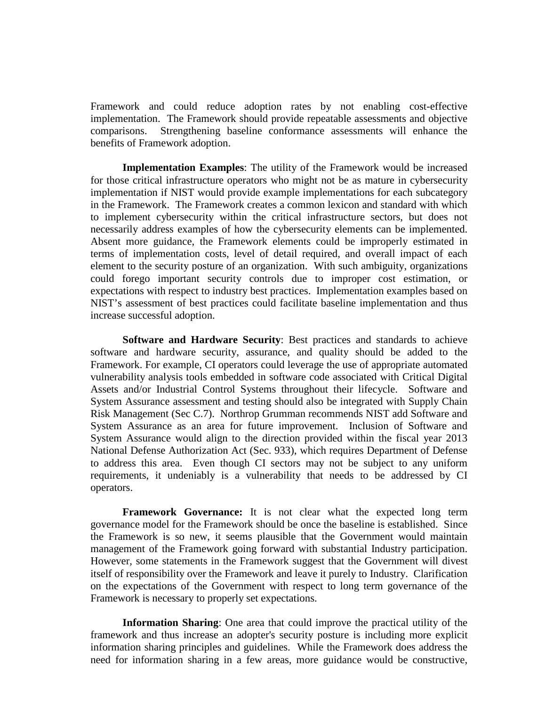Framework and could reduce adoption rates by not enabling cost-effective implementation. The Framework should provide repeatable assessments and objective comparisons. Strengthening baseline conformance assessments will enhance the benefits of Framework adoption.

**Implementation Examples**: The utility of the Framework would be increased for those critical infrastructure operators who might not be as mature in cybersecurity implementation if NIST would provide example implementations for each subcategory in the Framework. The Framework creates a common lexicon and standard with which to implement cybersecurity within the critical infrastructure sectors, but does not necessarily address examples of how the cybersecurity elements can be implemented. Absent more guidance, the Framework elements could be improperly estimated in terms of implementation costs, level of detail required, and overall impact of each element to the security posture of an organization. With such ambiguity, organizations could forego important security controls due to improper cost estimation, or expectations with respect to industry best practices. Implementation examples based on NIST's assessment of best practices could facilitate baseline implementation and thus increase successful adoption.

**Software and Hardware Security**: Best practices and standards to achieve software and hardware security, assurance, and quality should be added to the Framework. For example, CI operators could leverage the use of appropriate automated vulnerability analysis tools embedded in software code associated with Critical Digital Assets and/or Industrial Control Systems throughout their lifecycle. Software and System Assurance assessment and testing should also be integrated with Supply Chain Risk Management (Sec C.7). Northrop Grumman recommends NIST add Software and System Assurance as an area for future improvement. Inclusion of Software and System Assurance would align to the direction provided within the fiscal year 2013 National Defense Authorization Act (Sec. 933), which requires Department of Defense to address this area. Even though CI sectors may not be subject to any uniform requirements, it undeniably is a vulnerability that needs to be addressed by CI operators.

**Framework Governance:** It is not clear what the expected long term governance model for the Framework should be once the baseline is established. Since the Framework is so new, it seems plausible that the Government would maintain management of the Framework going forward with substantial Industry participation. However, some statements in the Framework suggest that the Government will divest itself of responsibility over the Framework and leave it purely to Industry. Clarification on the expectations of the Government with respect to long term governance of the Framework is necessary to properly set expectations.

**Information Sharing**: One area that could improve the practical utility of the framework and thus increase an adopter's security posture is including more explicit information sharing principles and guidelines. While the Framework does address the need for information sharing in a few areas, more guidance would be constructive,